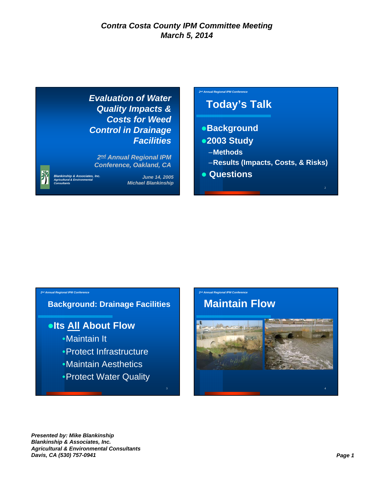*Evaluation of Water Quality Impacts & Costs for Weed Control in Drainage Facilities*

*2nd Annual Regional IPM Conference, Oakland, CA*



*Consultants*

*Blankinship & Associates, Inc. Agricultural & Environmental* 

*June 14, 2005 Michael Blankinship*

3

# **Today's Talk**

- **Background**
- **2003 Study**
	- –**Methods**

*2nd Annual Regional IPM Conference*

–**Results (Impacts, Costs, & Risks)**

2

**Questions**

*2nd Annual Regional IPM Conference*

*2nd Annual Regional IPM Conference*

**Background: Drainage Facilities**

## **. Its All About Flow**

- •Maintain It
- •Protect Infrastructure
- •Maintain Aesthetics
- •Protect Water Quality



*Presented by: Mike Blankinship Blankinship & Associates, Inc. Agricultural & Environmental Consultants Davis, CA (530) 757-0941*

4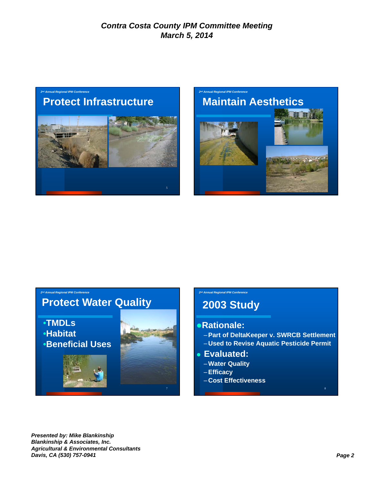



#### *2nd Annual Regional IPM Conference* **Protect Water Quality**

•**TMDLs** •**Habitat** •**Beneficial Uses**



#### *2nd Annual Regional IPM Conference*

# **2003 Study**

- **Rationale:**
	- –**Part of DeltaKeeper v. SWRCB Settlement**
	- **Used to Revise Aquatic Pesticide Permit**
- **Evaluated:**
	- –**Water Quality**
	- –**Efficacy**
	- **Cost Effectiveness**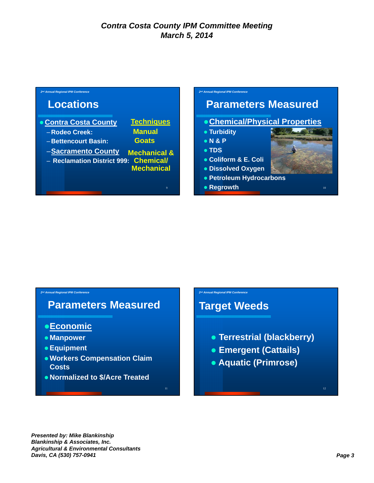## **Locations Contra Costa County** – **Rodeo Creek:** – **Bettencourt Basin:**

*2nd Annual Regional IPM Conference*

#### **Manual Techniques**

9

11

**Goats**

- –**Sacramento County Mechanical &**
- **Reclamation District 999: Chemical/ Mechanical**

# **Parameters Measured**

### **Chemical/Physical Properties**

**Turbidity**

*2nd Annual Regional IPM Conference*

- **N & P**
- **TDS**
- **Coliform & E. Coli**
- **Dissolved Oxygen**
- **Petroleum Hydrocarbons**
- **Regrowth**

#### *2nd Annual Regional IPM Conference*

## **Parameters Measured**

- **Economic**
- **Manpower**
- **Equipment**
- **Workers Compensation Claim Costs**
- **Normalized to \$/Acre Treated**

*2nd Annual Regional IPM Conference*

# **Target Weeds**

- **Terrestrial (blackberry)**
- **Emergent (Cattails)**
- **Aquatic (Primrose)**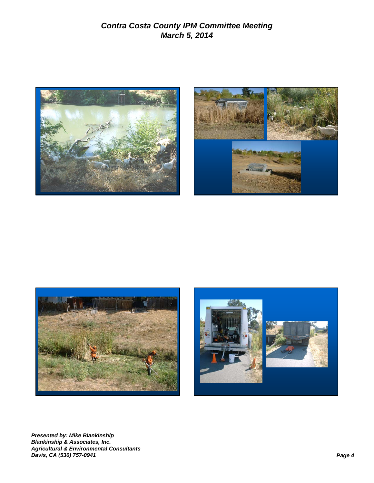





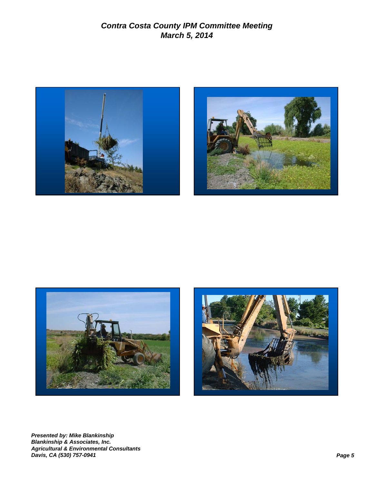





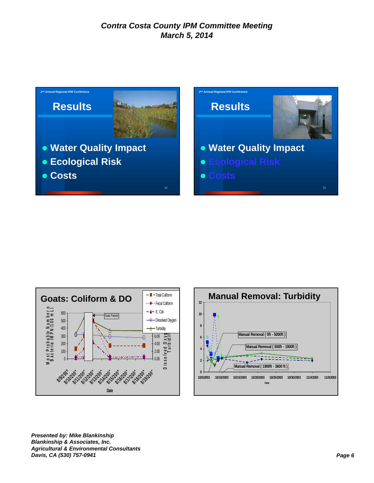



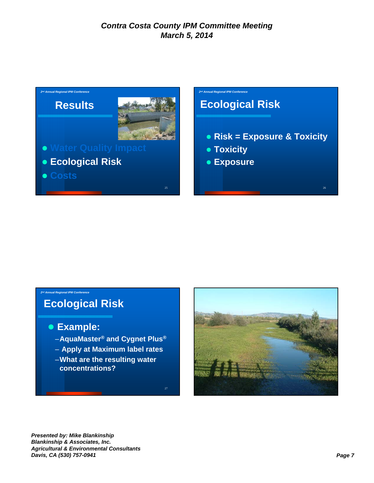

# **Ecological Risk**

**Example:**

*2nd Annual Regional IPM Conference*

- –**AquaMaster® and Cygnet Plus®**
- **Apply at Maximum label rates**
- –**What are the resulting water concentrations?**

27

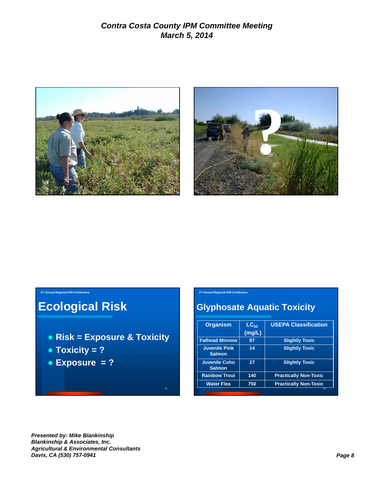



## *2nd Annual Regional IPM Conference*

# **Ecological Risk**

**Risk = Exposure & Toxicity**

31

- **Toxicity = ?**
- **Exposure = ?**

#### *2nd Annual Regional IPM Conference*

## **Glyphosate Aquatic Toxicity**

| <b>Organism</b>                       | $LC_{50}$<br>(mg/L) | <b>USEPA Classification</b>        |
|---------------------------------------|---------------------|------------------------------------|
| <b>Fathead Minnow</b>                 | 97                  | <b>Slightly Toxic</b>              |
| <b>Juvenile Pink</b><br><b>Salmon</b> | 14                  | <b>Slightly Toxic</b>              |
| <b>Juvenile Coho</b><br><b>Salmon</b> | 27                  | <b>Slightly Toxic</b>              |
| <b>Rainbow Trout</b>                  | 140                 | <b>Practically Non-Toxic</b>       |
| <b>Water Flea</b>                     | 750                 | <b>Practically Non-Toxic</b><br>32 |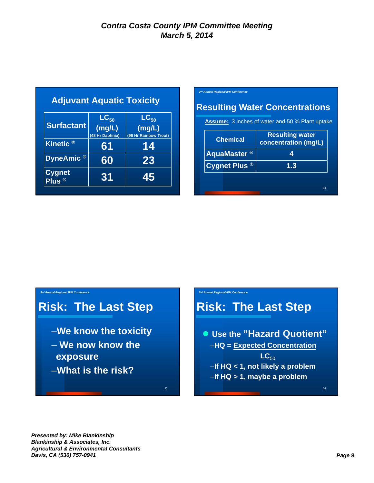## **Adjuvant Aquatic Toxicity**

|                             | $LC_{50}$                 | $LC_{50}$                       |
|-----------------------------|---------------------------|---------------------------------|
| <b>Surfactant</b>           | (mg/L)<br>(48 Hr Daphnia) | (mg/L)<br>(96 Hr Rainbow Trout) |
| <b>Kinetic<sup>®</sup></b>  | 61                        | 14                              |
| DyneAmic <sup>®</sup>       | 60                        | 23                              |
| Cygnet<br>Plus <sup>®</sup> | 31                        | 45                              |

#### *2nd Annual Regional IPM Conference*

## **Resulting Water Concentrations**

**Assume:** 3 inches of water and 50 % Plant uptake

| <b>Chemical</b>          | <b>Resulting water</b><br>concentration (mg/L) |
|--------------------------|------------------------------------------------|
| AquaMaster <sup>®</sup>  |                                                |
| Cygnet Plus <sup>®</sup> | 1.3                                            |

#### *2nd Annual Regional IPM Conference*

# **Risk: The Last Step**

- –**We know the toxicity**
- **We now know the exposure**
- –**What is the risk?**

#### *2nd Annual Regional IPM Conference*

# **Risk: The Last Step**

- **Use the "Hazard Quotient"**
	- –**HQ = Expected Concentration**
	- $LC_{50}$ –**If HQ < 1, not likely a problem** –**If HQ > 1, maybe a problem**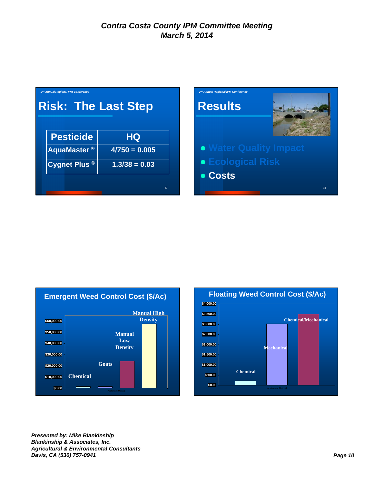| 2 <sup>nd</sup> Annual Regional IPM Conference<br><b>Risk: The Last Step</b> |                 |  |  |  |
|------------------------------------------------------------------------------|-----------------|--|--|--|
| <b>Pesticide</b>                                                             | HQ              |  |  |  |
| AquaMaster <sup>®</sup>                                                      | $4/750 = 0.005$ |  |  |  |
| Cygnet Plus <sup>®</sup>                                                     | $1.3/38 = 0.03$ |  |  |  |
|                                                                              | 37              |  |  |  |





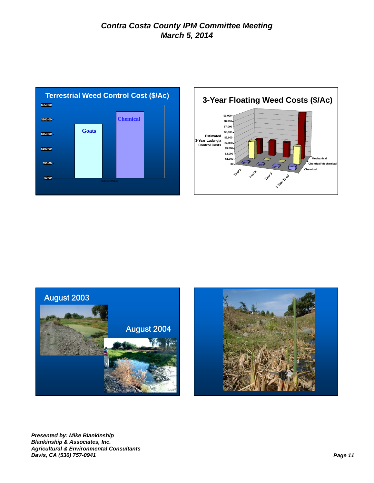





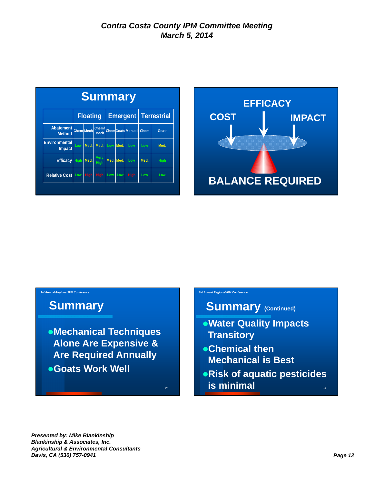



# **Summary**

*2nd Annual Regional IPM Conference*

**Mechanical Techniques Alone Are Expensive & Are Required Annually Goats Work Well**

47

#### *2nd Annual Regional IPM Conference*

**Summary (Continued)** 

- **Water Quality Impacts Transitory**
- **Chemical then Mechanical is Best**
- 48 **Risk of aquatic pesticides is minimal**